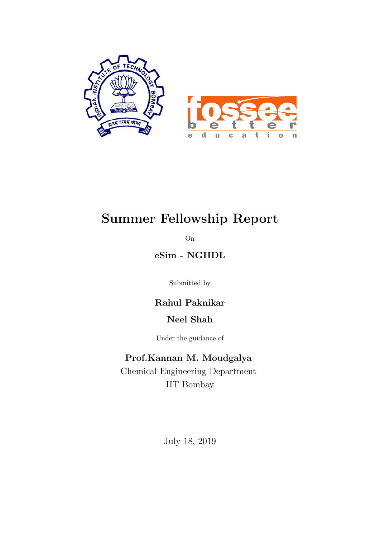

# Summer Fellowship Report

On

eSim - NGHDL

Submitted by

### Rahul Paknikar

### Neel Shah

Under the guidance of

### Prof.Kannan M. Moudgalya

Chemical Engineering Department IIT Bombay

July 18, 2019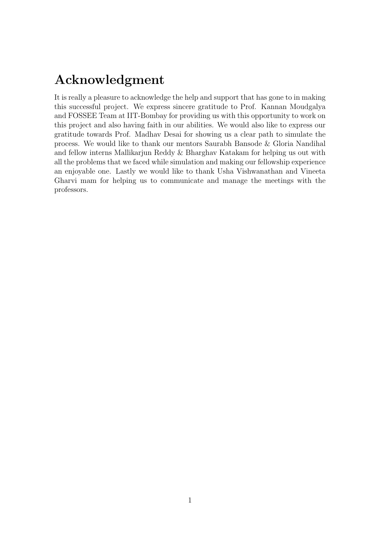# Acknowledgment

It is really a pleasure to acknowledge the help and support that has gone to in making this successful project. We express sincere gratitude to Prof. Kannan Moudgalya and FOSSEE Team at IIT-Bombay for providing us with this opportunity to work on this project and also having faith in our abilities. We would also like to express our gratitude towards Prof. Madhav Desai for showing us a clear path to simulate the process. We would like to thank our mentors Saurabh Bansode & Gloria Nandihal and fellow interns Mallikarjun Reddy & Bharghav Katakam for helping us out with all the problems that we faced while simulation and making our fellowship experience an enjoyable one. Lastly we would like to thank Usha Vishwanathan and Vineeta Gharvi mam for helping us to communicate and manage the meetings with the professors.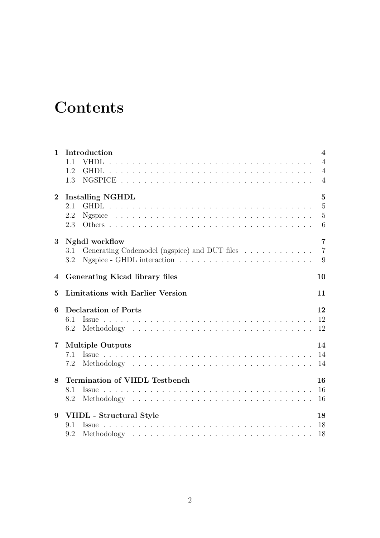# **Contents**

| $\mathbf{1}$   | Introduction                                        | $\overline{\mathbf{4}}$ |
|----------------|-----------------------------------------------------|-------------------------|
|                | 1.1<br><b>VHDL</b>                                  | $\overline{4}$          |
|                | 1.2                                                 | $\overline{4}$          |
|                | 1.3                                                 | $\overline{4}$          |
| $\overline{2}$ | <b>Installing NGHDL</b>                             | $\overline{5}$          |
|                | 2.1                                                 | $\overline{5}$          |
|                | 2.2                                                 | $\overline{5}$          |
|                | 2.3                                                 | 6                       |
| 3              | Nghdl workflow                                      | $\overline{7}$          |
|                | Generating Codemodel (ngspice) and DUT files<br>3.1 | $\overline{7}$          |
|                | 3.2                                                 | 9                       |
| $\overline{4}$ | Generating Kicad library files                      | 10                      |
| $\mathbf{5}$   | <b>Limitations with Earlier Version</b>             | 11                      |
| 6              | <b>Declaration of Ports</b>                         | 12                      |
|                | 6.1<br><i>ssue</i>                                  | 12                      |
|                | 6.2                                                 | 12                      |
| $\overline{7}$ | <b>Multiple Outputs</b>                             | 14                      |
|                | 7.1                                                 | 14                      |
|                | 7.2                                                 | 14                      |
| 8              | <b>Termination of VHDL Testbench</b>                | 16                      |
|                | 8.1<br>Issue                                        | 16                      |
|                | 8.2                                                 | 16                      |
| 9              | VHDL - Structural Style                             | 18                      |
|                | 9.1                                                 | 18                      |
|                | 9.2                                                 | 18                      |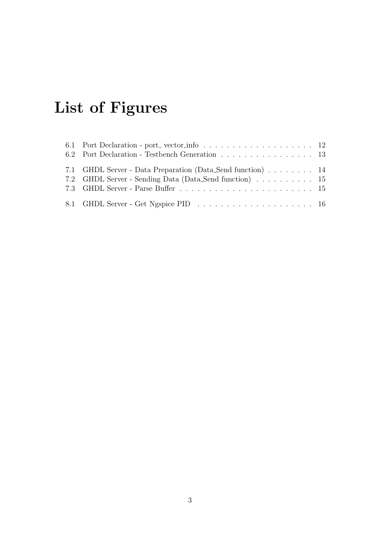# List of Figures

| 6.2 Port Declaration - Testbench Generation 13             |  |
|------------------------------------------------------------|--|
| 7.1 GHDL Server - Data Preparation (Data Send function) 14 |  |
| 7.2 GHDL Server - Sending Data (Data Send function) 15     |  |
|                                                            |  |
|                                                            |  |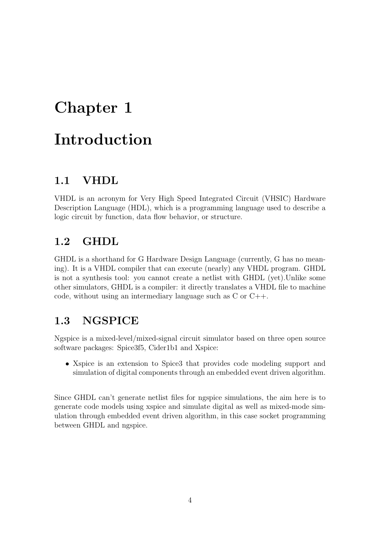# <span id="page-4-0"></span>Chapter 1 Introduction

## <span id="page-4-1"></span>1.1 VHDL

VHDL is an acronym for Very High Speed Integrated Circuit (VHSIC) Hardware Description Language (HDL), which is a programming language used to describe a logic circuit by function, data flow behavior, or structure.

## <span id="page-4-2"></span>1.2 GHDL

GHDL is a shorthand for G Hardware Design Language (currently, G has no meaning). It is a VHDL compiler that can execute (nearly) any VHDL program. GHDL is not a synthesis tool: you cannot create a netlist with GHDL (yet).Unlike some other simulators, GHDL is a compiler: it directly translates a VHDL file to machine code, without using an intermediary language such as C or C++.

### <span id="page-4-3"></span>1.3 NGSPICE

Ngspice is a mixed-level/mixed-signal circuit simulator based on three open source software packages: Spice3f5, Cider1b1 and Xspice:

• Xspice is an extension to Spice3 that provides code modeling support and simulation of digital components through an embedded event driven algorithm.

Since GHDL can't generate netlist files for ngspice simulations, the aim here is to generate code models using xspice and simulate digital as well as mixed-mode simulation through embedded event driven algorithm, in this case socket programming between GHDL and ngspice.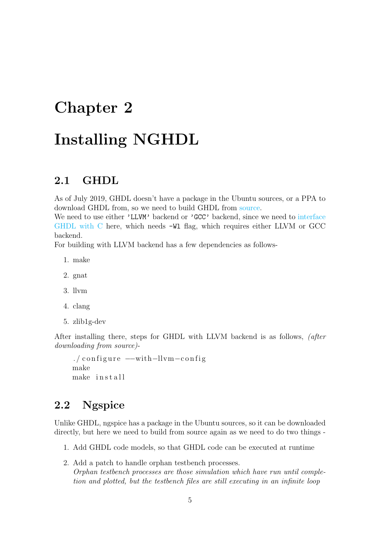# <span id="page-5-0"></span>Chapter 2

# Installing NGHDL

#### <span id="page-5-1"></span>2.1 GHDL

As of July 2019, GHDL doesn't have a package in the Ubuntu sources, or a PPA to download GHDL from, so we need to build GHDL from [source.](https://github.com/ghdl/ghdl)

We need to use either 'LLVM' backend or 'GCC' backend, since we need to [interface](https://ghdl.readthedocs.io/en/latest/using/Foreign.html) [GHDL with C](https://ghdl.readthedocs.io/en/latest/using/Foreign.html) here, which needs -Wl flag, which requires either LLVM or GCC backend.

For building with LLVM backend has a few dependencies as follows-

- 1. make
- 2. gnat
- 3. llvm
- 4. clang
- 5. zlib1g-dev

After installing there, steps for GHDL with LLVM backend is as follows, (after downloading from source)-

```
./configure --with-llvm-config
make
make install
```
## <span id="page-5-2"></span>2.2 Ngspice

Unlike GHDL, ngspice has a package in the Ubuntu sources, so it can be downloaded directly, but here we need to build from source again as we need to do two things -

- 1. Add GHDL code models, so that GHDL code can be executed at runtime
- 2. Add a patch to handle orphan testbench processes. Orphan testbench processes are those simulation which have run until completion and plotted, but the testbench files are still executing in an infinite loop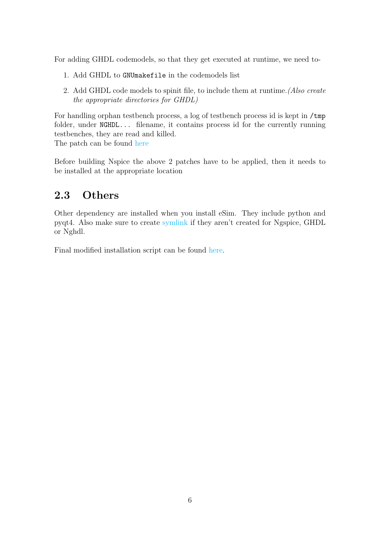For adding GHDL codemodels, so that they get executed at runtime, we need to-

- 1. Add GHDL to GNUmakefile in the codemodels list
- 2. Add GHDL code models to spinit file, to include them at runtime.(Also create the appropriate directories for GHDL)

For handling orphan testbench process, a log of testbench process id is kept in /tmp folder, under NGHDL... filename, it contains process id for the currently running testbenches, they are read and killed.

The patch can be found [here](https://github.com/FOSSEE/nghdl/blob/master/src/outitf.c)

Before building Nspice the above 2 patches have to be applied, then it needs to be installed at the appropriate location

### <span id="page-6-0"></span>2.3 Others

Other dependency are installed when you install eSim. They include python and pyqt4. Also make sure to create [symlink](https://www.shellhacks.com/symlink-create-symbolic-link-linux/) if they aren't created for Ngspice, GHDL or Nghdl.

Final modified installation script can be found [here.](https://github.com/nilshah98/nghdl/blob/2019Fellows/install-nghdl.sh)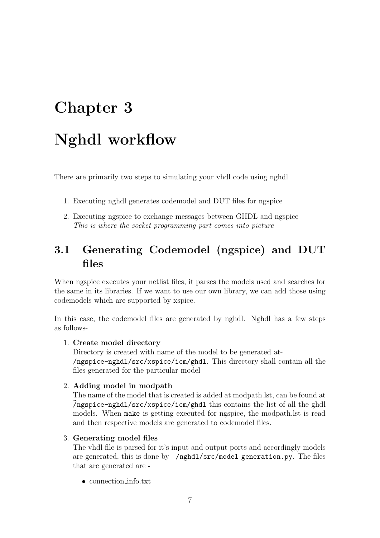# <span id="page-7-0"></span>Chapter 3 Nghdl workflow

There are primarily two steps to simulating your vhdl code using nghdl

- 1. Executing nghdl generates codemodel and DUT files for ngspice
- 2. Executing ngspice to exchange messages between GHDL and ngspice This is where the socket programming part comes into picture

# <span id="page-7-1"></span>3.1 Generating Codemodel (ngspice) and DUT files

When ngspice executes your netlist files, it parses the models used and searches for the same in its libraries. If we want to use our own library, we can add those using codemodels which are supported by xspice.

In this case, the codemodel files are generated by nghdl. Nghdl has a few steps as follows-

#### 1. Create model directory

Directory is created with name of the model to be generated at- /ngspice-nghdl/src/xspice/icm/ghdl. This directory shall contain all the files generated for the particular model

#### 2. Adding model in modpath

The name of the model that is created is added at modpath.lst, can be found at  $\gamma$ ngspice-nghdl/src/xspice/icm/ghdl this contains the list of all the ghdl models. When make is getting executed for ngspice, the modpath.lst is read and then respective models are generated to codemodel files.

#### 3. Generating model files

The vhdl file is parsed for it's input and output ports and accordingly models are generated, this is done by /nghdl/src/model generation.py. The files that are generated are -

• connection info.txt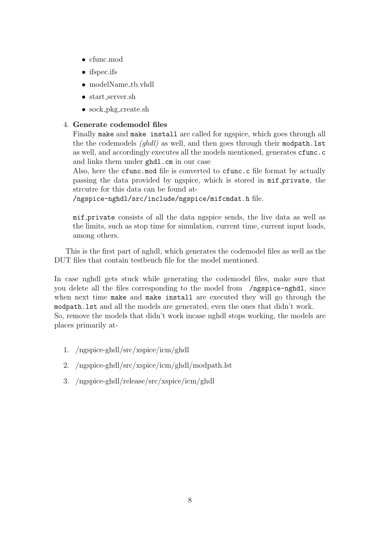- cfunc.mod
- ifspec.ifs
- modelName th.vhdl
- start server.sh
- sock\_pkg\_create.sh

#### 4. Generate codemodel files

Finally make and make install are called for ngspice, which goes through all the the codemodels  $(qhdl)$  as well, and then goes through their modpath. Lst as well, and accordingly executes all the models mentioned, generates cfunc.c and links them under ghdl.cm in our case

Also, here the cfunc.mod file is converted to cfunc.c file format by actually passing the data provided by ngspice, which is stored in mif private, the strcutre for this data can be found at-

/ngspice-nghdl/src/include/ngspice/mifcmdat.h file.

mif private consists of all the data ngspice sends, the live data as well as the limits, such as stop time for simulation, current time, current input loads, among others.

This is the first part of nghdl, which generates the codemodel files as well as the DUT files that contain testbench file for the model mentioned.

In case nghdl gets stuck while generating the codemodel files, make sure that you delete all the files corresponding to the model from /ngspice-nghdl, since when next time make and make install are executed they will go through the modpath.lst and all the models are generated, even the ones that didn't work. So, remove the models that didn't work incase nghdl stops working, the models are places primarily at-

- 1. /ngspice-ghdl/src/xspice/icm/ghdl
- 2. /ngspice-ghdl/src/xspice/icm/ghdl/modpath.lst
- 3. /ngspice-ghdl/release/src/xspice/icm/ghdl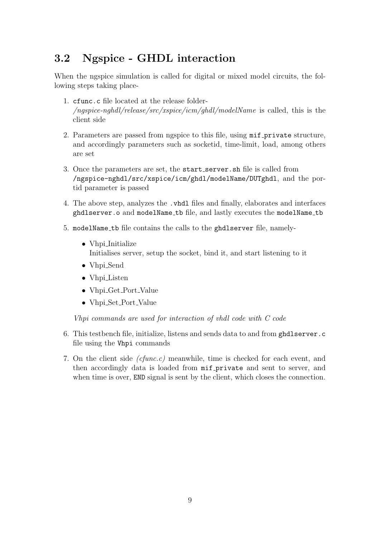# <span id="page-9-0"></span>3.2 Ngspice - GHDL interaction

When the ngspice simulation is called for digital or mixed model circuits, the following steps taking place-

- 1. cfunc.c file located at the release folder-  $(nqspice-nghdl/release/src/xspie/icm/ghdl/modelName)$  is called, this is the client side
- 2. Parameters are passed from ngspice to this file, using mif private structure, and accordingly parameters such as socketid, time-limit, load, among others are set
- 3. Once the parameters are set, the start server.sh file is called from /ngspice-nghdl/src/xspice/icm/ghdl/modelName/DUTghdl, and the portid parameter is passed
- 4. The above step, analyzes the .vhdl files and finally, elaborates and interfaces ghdlserver.o and modelName tb file, and lastly executes the modelName tb
- 5. modelName tb file contains the calls to the ghdlserver file, namely-
	- Vhpi\_Initialize Initialises server, setup the socket, bind it, and start listening to it
	- Vhpi\_Send
	- Vhpi\_Listen
	- Vhpi Get Port Value
	- Vhpi\_Set\_Port\_Value

Vhpi commands are used for interaction of vhdl code with C code

- 6. This testbench file, initialize, listens and sends data to and from ghdlserver.c file using the Vhpi commands
- 7. On the client side (cfunc.c) meanwhile, time is checked for each event, and then accordingly data is loaded from mif private and sent to server, and when time is over, END signal is sent by the client, which closes the connection.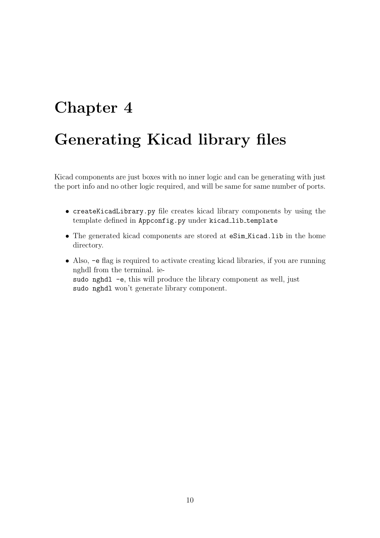# <span id="page-10-0"></span>Chapter 4 Generating Kicad library files

Kicad components are just boxes with no inner logic and can be generating with just the port info and no other logic required, and will be same for same number of ports.

- createKicadLibrary.py file creates kicad library components by using the template defined in Appconfig.py under kicad\_lib\_template
- The generated kicad components are stored at eSim Kicad.lib in the home directory.
- Also, -e flag is required to activate creating kicad libraries, if you are running nghdl from the terminal. iesudo nghdl -e, this will produce the library component as well, just sudo nghdl won't generate library component.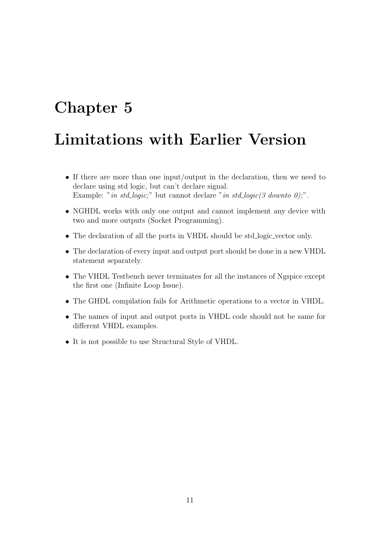# <span id="page-11-0"></span>Chapter 5

# Limitations with Earlier Version

- If there are more than one input/output in the declaration, then we need to declare using std logic, but can't declare signal. Example: "in std\_logic;" but cannot declare "in std\_logic(3 downto 0);".
- NGHDL works with only one output and cannot implement any device with two and more outputs (Socket Programming).
- The declaration of all the ports in VHDL should be std logic vector only.
- The declaration of every input and output port should be done in a new VHDL statement separately.
- The VHDL Testbench never terminates for all the instances of Ngspice except the first one (Infinite Loop Issue).
- The GHDL compilation fails for Arithmetic operations to a vector in VHDL.
- The names of input and output ports in VHDL code should not be same for different VHDL examples.
- It is not possible to use Structural Style of VHDL.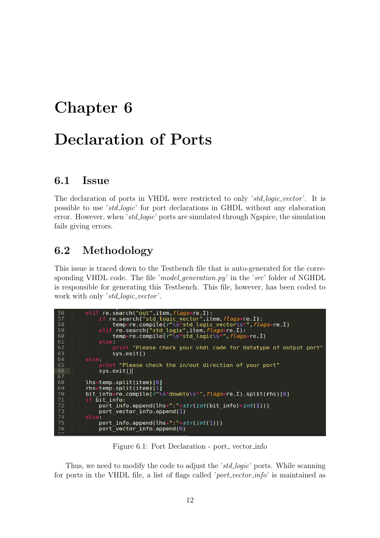# <span id="page-12-0"></span>Chapter 6 Declaration of Ports

### <span id="page-12-1"></span>6.1 Issue

The declaration of ports in VHDL were restricted to only *'std<sub>-</sub>logic\_vector'*. It is possible to use 'std logic' for port declarations in GHDL without any elaboration error. However, when 'std<sub>-logic</sub>' ports are simulated through Ngspice, the simulation fails giving errors.

## <span id="page-12-2"></span>6.2 Methodology

This issue is traced down to the Testbench file that is auto-generated for the corresponding VHDL code. The file 'model generation.py' in the 'src' folder of NGHDL is responsible for generating this Testbench. This file, however, has been coded to work with only 'std\_logic\_vector'.

<span id="page-12-3"></span>

Figure 6.1: Port Declaration - port\_vector\_info

Thus, we need to modify the code to adjust the 'std-logic' ports. While scanning for ports in the VHDL file, a list of flags called '*port\_vector\_info*' is maintained as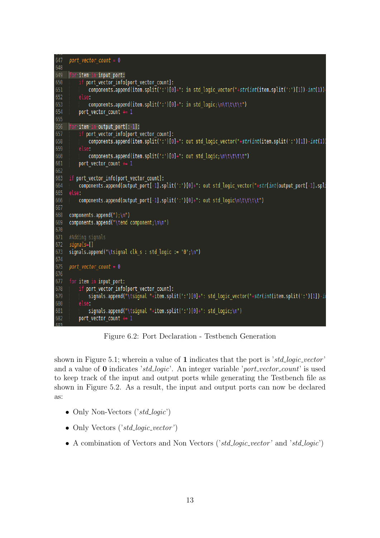```
647
     port vector count = 0648
649 for item in input_port:
650
          if port vector info[port vector count]:
             components.append(item.split(':')[0]+": in std_logic_vector("+str(int(item.split(':')[1])-int(1))
651
652
653
              components.append(item.split(':')[0]+": in std logic;\n\t\t\t\t")
654
          port vector count += 1655
656 for item in output port[:-1]:
657
          if port vector info[port vector count]:
658
             components.append(item.split(':')[0]+": out std_logic_vector("+str(int(item.split(':')[1])-int(1)
659
660
              components.append(item.split(':')[0]+": out std_logic;\n\t\t\t\t")
661
          port_vector_count += 1
662
     if port_vector_info[port_vector_count]:
664
         components.append(output_port[-1].split(':')[0]+": out std_logic_vector("+str(int(output_port[-1].spli
665
          components.append(output_port[-1].split(':')[0]+": out std_logic\n\t\t\t\t")
666
667
668 components.append(");\n")<br>669 components.append("\tend component;\n\n")
670
671 #Adding signals
672 signals=[]
673 signals.append("\tsignal clk s : std logic := '0';\n")
674
675 port vector count = 0676
677
     for item in input port:
678
          if port vector info[port vector count]:
              signals.append("\tsignal "+item.split(':')[0]+": std_logic_vector("+str(int(item.split(':')[1])-in
679
680
         else:
              signals.append("\tsignal "+item.split(':')[0]+": std_logic;\n")
682
          port vector count += 1
```
Figure 6.2: Port Declaration - Testbench Generation

shown in Figure 5.1; wherein a value of 1 indicates that the port is 'std-logic-vector' and a value of  $\bf{0}$  indicates 'std\_logic'. An integer variable 'port\_vector\_count' is used to keep track of the input and output ports while generating the Testbench file as shown in Figure 5.2. As a result, the input and output ports can now be declared as:

- Only Non-Vectors  $('std\_logic')$
- Only Vectors  $('std\_logic\_vector')$
- A combination of Vectors and Non Vectors ('std logic vector' and 'std logic')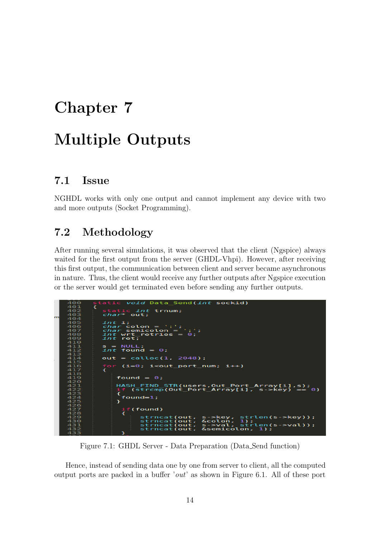# <span id="page-14-0"></span>Chapter 7 Multiple Outputs

## <span id="page-14-1"></span>7.1 Issue

NGHDL works with only one output and cannot implement any device with two and more outputs (Socket Programming).

# <span id="page-14-2"></span>7.2 Methodology

After running several simulations, it was observed that the client (Ngspice) always waited for the first output from the server (GHDL-Vhpi). However, after receiving this first output, the communication between client and server became asynchronous in nature. Thus, the client would receive any further outputs after Ngspice execution or the server would get terminated even before sending any further outputs.

<span id="page-14-3"></span>

Figure 7.1: GHDL Server - Data Preparation (Data Send function)

Hence, instead of sending data one by one from server to client, all the computed output ports are packed in a buffer 'out' as shown in Figure 6.1. All of these port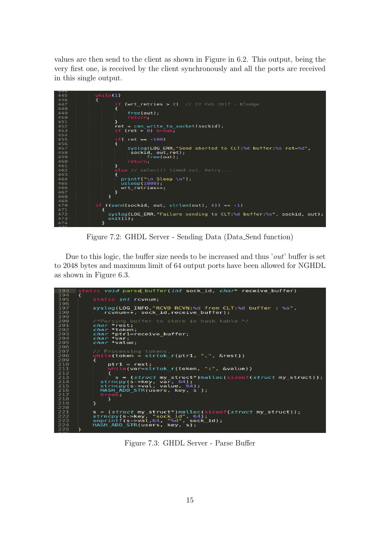values are then send to the client as shown in Figure in 6.2. This output, being the very first one, is received by the client synchronously and all the ports are received in this single output.

<span id="page-15-0"></span>

Figure 7.2: GHDL Server - Sending Data (Data Send function)

Due to this logic, the buffer size needs to be increased and thus 'out' buffer is set to 2048 bytes and maximum limit of 64 output ports have been allowed for NGHDL as shown in Figure 6.3.

<span id="page-15-1"></span>

Figure 7.3: GHDL Server - Parse Buffer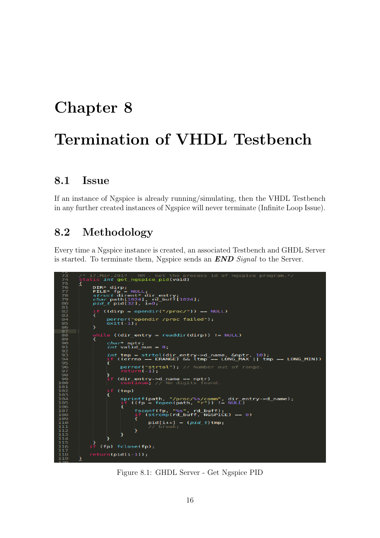# <span id="page-16-0"></span>Chapter 8 Termination of VHDL Testbench

#### <span id="page-16-1"></span>8.1 Issue

If an instance of Ngspice is already running/simulating, then the VHDL Testbench in any further created instances of Ngspice will never terminate (Infinite Loop Issue).

### <span id="page-16-2"></span>8.2 Methodology

Every time a Ngspice instance is created, an associated Testbench and GHDL Server is started. To terminate them, Ngspice sends an END Signal to the Server.

```
get ngspice pid(void)
7777778901233456789001233456789001233456789001233456789012334567890123345678900123345678900123345667
                                      NULL<br>***
                                               i<br>di r
                                                       entry;<br>buff[1024];
                             ath[1024], rd<br>pid[32], i=0;
                        ((\text{dirp} = \text{opendir}("/proc/")) == NULL):rp = opendir / proc/ 77 == n<br>:ror("opendir /proc failed");<br>:t(-1);
                       ile ((dir_entry = readdir(<mark>dirp)) != NULL)</mark>
                          cha<br>int
                                 ≪ nptr;<br>valid_num = 0;
                                                    ol(dir<br>ERANGE
                                                                             >d_name, &nptr, 10);<br>mp == LONG_MAX || tmp
                                                                         y->a<br>(tmp
                                                                                                                         = LONG MIN))
                                                      tol");
                                                'str
                                        entry->d_name
                               (dir
                                                                         nptr)(tmp)dir_entry->d_name);<br>NULL)
                                                                   ", rd_buff);<br>buff, NGSPICE)
                                                                                              = 0)pid[i+1] =(pid_t)tmp;
                                  P
                          h
                     (fp) fclose(fp);
                 return(pid[i-1]);
```
Figure 8.1: GHDL Server - Get Ngspice PID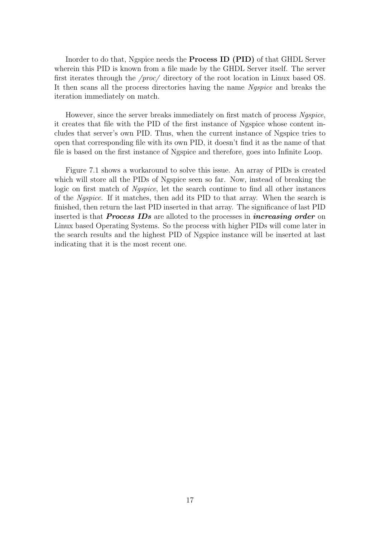Inorder to do that, Ngspice needs the Process ID (PID) of that GHDL Server wherein this PID is known from a file made by the GHDL Server itself. The server first iterates through the /proc/ directory of the root location in Linux based OS. It then scans all the process directories having the name Ngspice and breaks the iteration immediately on match.

However, since the server breaks immediately on first match of process Ngspice, it creates that file with the PID of the first instance of Ngspice whose content includes that server's own PID. Thus, when the current instance of Ngspice tries to open that corresponding file with its own PID, it doesn't find it as the name of that file is based on the first instance of Ngspice and therefore, goes into Infinite Loop.

Figure 7.1 shows a workaround to solve this issue. An array of PIDs is created which will store all the PIDs of Ngspice seen so far. Now, instead of breaking the logic on first match of Ngspice, let the search continue to find all other instances of the Ngspice. If it matches, then add its PID to that array. When the search is finished, then return the last PID inserted in that array. The significance of last PID inserted is that **Process IDs** are alloted to the processes in *increasing order* on Linux based Operating Systems. So the process with higher PIDs will come later in the search results and the highest PID of Ngspice instance will be inserted at last indicating that it is the most recent one.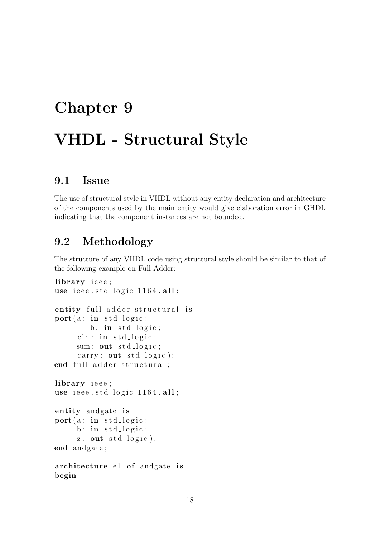# <span id="page-18-0"></span>Chapter 9 VHDL - Structural Style

### <span id="page-18-1"></span>9.1 Issue

The use of structural style in VHDL without any entity declaration and architecture of the components used by the main entity would give elaboration error in GHDL indicating that the component instances are not bounded.

# <span id="page-18-2"></span>9.2 Methodology

The structure of any VHDL code using structural style should be similar to that of the following example on Full Adder:

```
library ieee;
use ieee.std_logic_1164.all;
entity full_adder_structural is
port(a: in std_logic;b: in std_logic;
     cin: in std\_logic;
     sum: out std_logic;
     carry: out std_logic);
end full_adder_structural;
library ieee :
use ieee.std_logic_1164.all;
entity andgate is
port(a: in std_logic;b: in std\_logic;z: out std\_logic );
end andgate ;
architecture e1 of andgate is
begin
```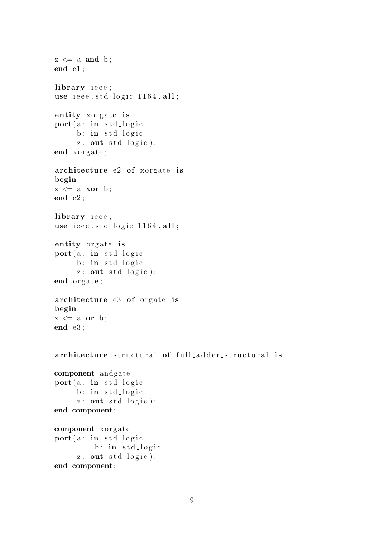```
z \leq a and b;
end e1;
library ieee;
use \text{ i}ee. std_logic_1164.all;
entity xorgate is
port(a: in std_logic;b: in std\_logic;z: out std\_logic );
end xorgate;
architecture e2 of xorgate is
begin
z \leq a xor b;
end e2 ;
library ieee;
use \text{ i}ee. std_logic_1164.all;
entity orgate is
port(a: in std_logic;b: in std_logic;
     z: out std\_logic );
end orgate;
architecture e3 of orgate is
begin
z \leq a or b;
end e3 ;
architecture structural of full adder structural is
component andgate
port(a: in std_logic;b: in std_logic;
     z: out std\_logic );
end component ;
component xorgate
port(a: in std_logic;b: \text{in } std\_logic;z: out std\_logic );
end component ;
```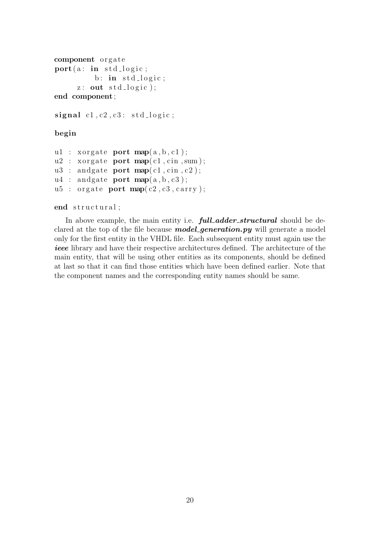```
component orgate
port(a: in std_logic;b: in std\_logic;z: out std\_logic );
end component ;
signal c1, c2, c3: std_logic;
```
#### begin

```
u1 : xorgate port map(a, b, c1);
u2 : xorgate port map(c1, cin, sum);
u3: andgate port map(c1, cin, c2);
u4 : andgate port map(a,b,c3);
u5 : orgate port map(c2, c3, carry);
```
#### end structural;

In above example, the main entity i.e. **full\_adder\_structural** should be declared at the top of the file because **model\_generation.py** will generate a model only for the first entity in the VHDL file. Each subsequent entity must again use the ieee library and have their respective architectures defined. The architecture of the main entity, that will be using other entities as its components, should be defined at last so that it can find those entities which have been defined earlier. Note that the component names and the corresponding entity names should be same.